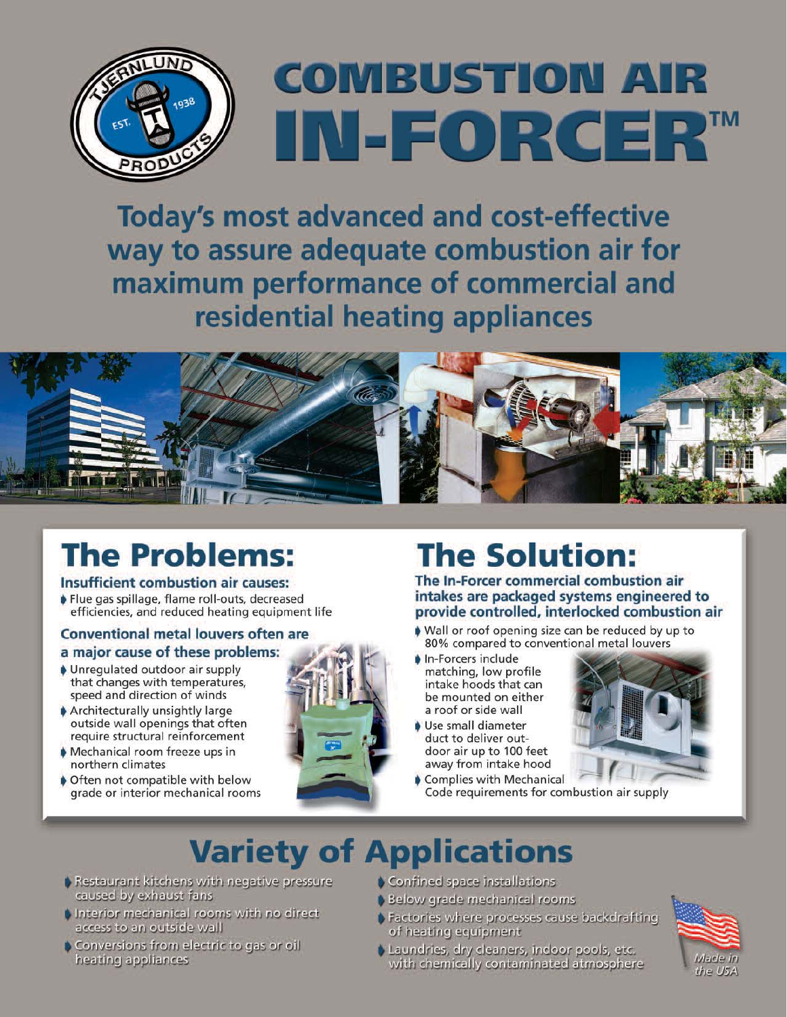

# **COMBUSTION AIR** IN-FORCER™

**Today's most advanced and cost-effective** way to assure adequate combustion air for maximum performance of commercial and residential heating appliances



# **The Problems:**

#### **Insufficient combustion air causes:**

Flue gas spillage, flame roll-outs, decreased efficiencies, and reduced heating equipment life

#### **Conventional metal louvers often are** a major cause of these problems:

- Unregulated outdoor air supply that changes with temperatures, speed and direction of winds
- Architecturally unsightly large outside wall openings that often require structural reinforcement
- Mechanical room freeze ups in northern climates
- Often not compatible with below grade or interior mechanical rooms



## **The Solution:**

The In-Forcer commercial combustion air intakes are packaged systems engineered to provide controlled, interlocked combustion air

- Wall or roof opening size can be reduced by up to 80% compared to conventional metal louvers
- In-Forcers include matching, low profile intake hoods that can be mounted on either a roof or side wall
- Use small diameter duct to deliver outdoor air up to 100 feet away from intake hood



Complies with Mechanical Code requirements for combustion air supply

# **Variety of Applications**

- Restaurant kitchens with negative pressure caused by exhaust fans
- Interior mechanical rooms with no direct access to an outside wall
- Conversions from electric to gas or oil heating appliances
- Confined space installations
- **Below grade mechanical rooms**
- Factories where processes cause backdrafting of heating equipment
- Laundries, dry cleaners, indoor pools, etc. with chemically contaminated atmosphere

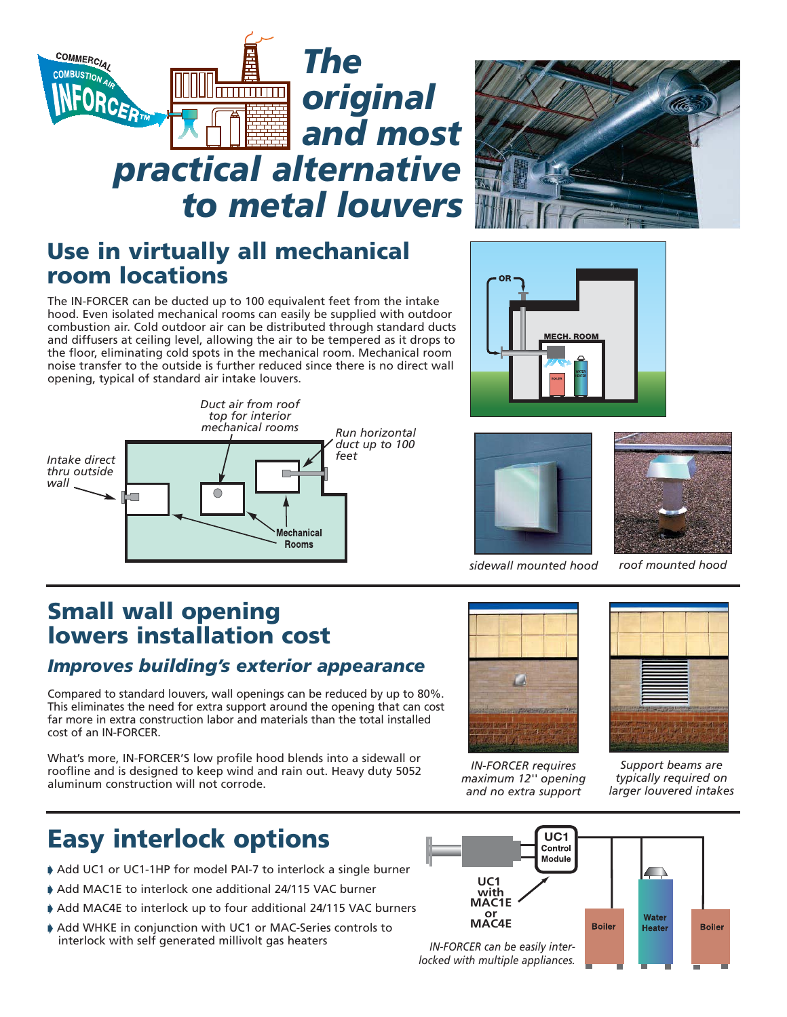



### **Use in virtually all mechanical room locations**

The IN-FORCER can be ducted up to 100 equivalent feet from the intake hood. Even isolated mechanical rooms can easily be supplied with outdoor combustion air. Cold outdoor air can be distributed through standard ducts and diffusers at ceiling level, allowing the air to be tempered as it drops to the floor, eliminating cold spots in the mechanical room. Mechanical room noise transfer to the outside is further reduced since there is no direct wall opening, typical of standard air intake louvers.









*sidewall mounted hood roof mounted hood*

### **Small wall opening lowers installation cost**

#### *Improves building's exterior appearance*

Compared to standard louvers, wall openings can be reduced by up to 80%. This eliminates the need for extra support around the opening that can cost far more in extra construction labor and materials than the total installed cost of an IN-FORCER.

What's more, IN-FORCER'S low profile hood blends into a sidewall or roofline and is designed to keep wind and rain out. Heavy duty 5052 aluminum construction will not corrode.



*IN-FORCER requires maximum 12'' opening and no extra support*



*Support beams are typically required on larger louvered intakes*

## **Easy interlock options**

- Add UC1 or UC1-1HP for model PAI-7 to interlock a single burner
- Add MAC1E to interlock one additional 24/115 VAC burner
- Add MAC4E to interlock up to four additional 24/115 VAC burners
- Add WHKE in conjunction with UC1 or MAC-Series controls to interlock with self generated millivolt gas heaters *IN-FORCER can be easily inter-*

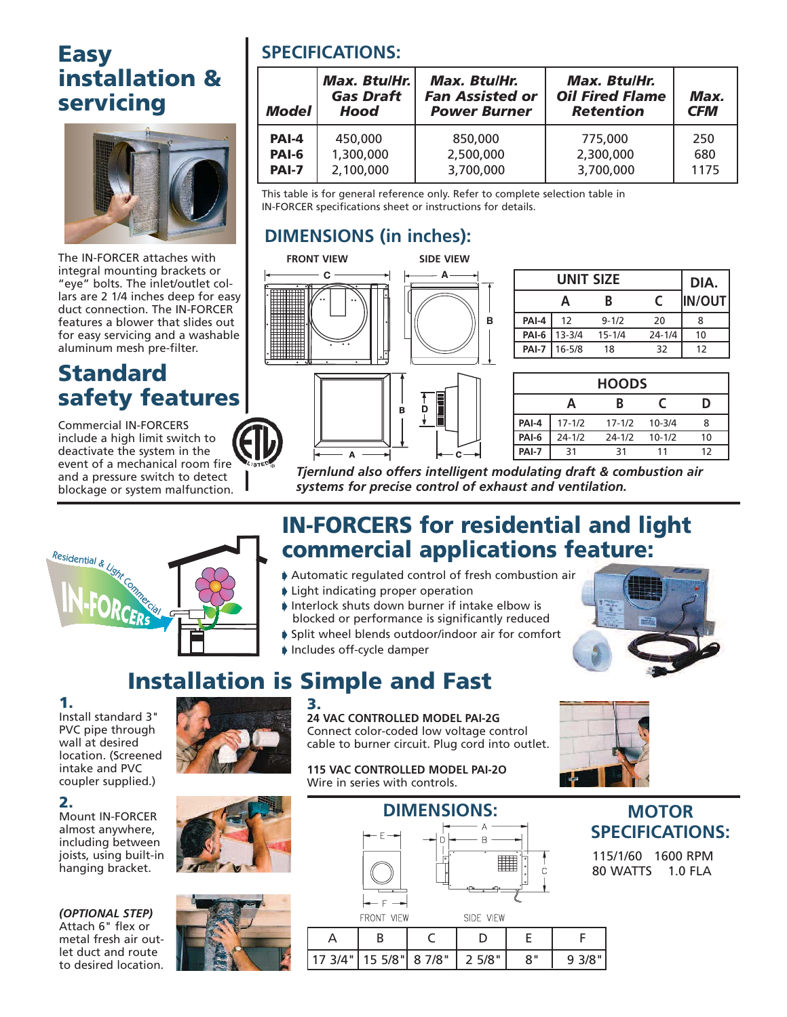#### **Easy installation & servicing**



The IN-FORCER attaches with integral mounting brackets or "eye" bolts. The inlet/outlet collars are 2 1/4 inches deep for easy duct connection. The IN-FORCER features a blower that slides out for easy servicing and a washable aluminum mesh pre-filter.

## **Standard safety features**

Commercial IN-FORCERS include a high limit switch to deactivate the system in the event of a mechanical room fire and a pressure switch to detect blockage or system malfunction.

#### **SPECIFICATIONS:**

| Model        | <b>Max. BtulHr.</b><br><b>Gas Draft</b><br><b>Hood</b> | Max. BtulHr.<br><b>Fan Assisted or</b><br><b>Power Burner</b> | <b>Max. BtulHr.</b><br><b>Oil Fired Flame</b><br><b>Retention</b> | Max.<br><b>CFM</b> |
|--------------|--------------------------------------------------------|---------------------------------------------------------------|-------------------------------------------------------------------|--------------------|
| <b>PAI-4</b> | 450,000                                                | 850,000                                                       | 775,000                                                           | 250                |
| <b>PAI-6</b> | 1,300,000                                              | 2,500,000                                                     | 2,300,000                                                         | 680                |
| <b>PAI-7</b> | 2,100,000                                              | 3,700,000                                                     | 3,700,000                                                         | 1175               |

This table is for general reference only. Refer to complete selection table in IN-FORCER specifications sheet or instructions for details.

#### **DIMENSIONS (in inches):**



| UNIT SIZE    |            |            | DIA.       |         |
|--------------|------------|------------|------------|---------|
|              | А          | R          |            | IIN/OUT |
| PAI-4        | 12         | $9 - 1/2$  | 20         | 8       |
| PAI-6        | $13 - 3/4$ | $15 - 1/4$ | $24 - 1/4$ | 10      |
| <b>PAI-7</b> | $16 - 5/8$ | 18         | 32         | 12      |

| <b>HOODS</b> |            |            |            |    |
|--------------|------------|------------|------------|----|
|              | А          | в          |            | D  |
| PAI-4        | $17 - 1/2$ | $17 - 1/2$ | $10 - 3/4$ |    |
| PAI-6        | $24 - 1/2$ | $24 - 1/2$ | $10 - 1/2$ | 10 |
| PAI-7        | 31         | 31         | 11         | 12 |

*Tjernlund also offers intelligent modulating draft & combustion air systems for precise control of exhaust and ventilation.*



#### **IN-FORCERS for residential and light commercial applications feature:**

- Automatic regulated control of fresh combustion air
- $\blacktriangleright$  Light indicating proper operation
- Interlock shuts down burner if intake elbow is blocked or performance is significantly reduced
- Split wheel blends outdoor/indoor air for comfort
- Includes off-cycle damper



## **Installation is Simple and Fast**

**3.**

#### **1.**

Install standard 3" PVC pipe through wall at desired location. (Screened intake and PVC coupler supplied.)

#### **2.**

Mount IN-FORCER almost anywhere, including between joists, using built-in hanging bracket.

*(OPTIONAL STEP)* Attach 6" flex or metal fresh air outlet duct and route to desired location.







Connect color-coded low voltage control cable to burner circuit. Plug cord into outlet. **115 VAC CONTROLLED MODEL PAI-2O** Wire in series with controls.

**24 VAC CONTROLLED MODEL PAI-2G**





**MOTOR SPECIFICATIONS:**

80 WATTS 1.0 FLA

| <b>MOIOR</b>          |  |  |
|-----------------------|--|--|
| <b>SPECIFICATIONS</b> |  |  |
| 115/1/60 1600 RPM     |  |  |